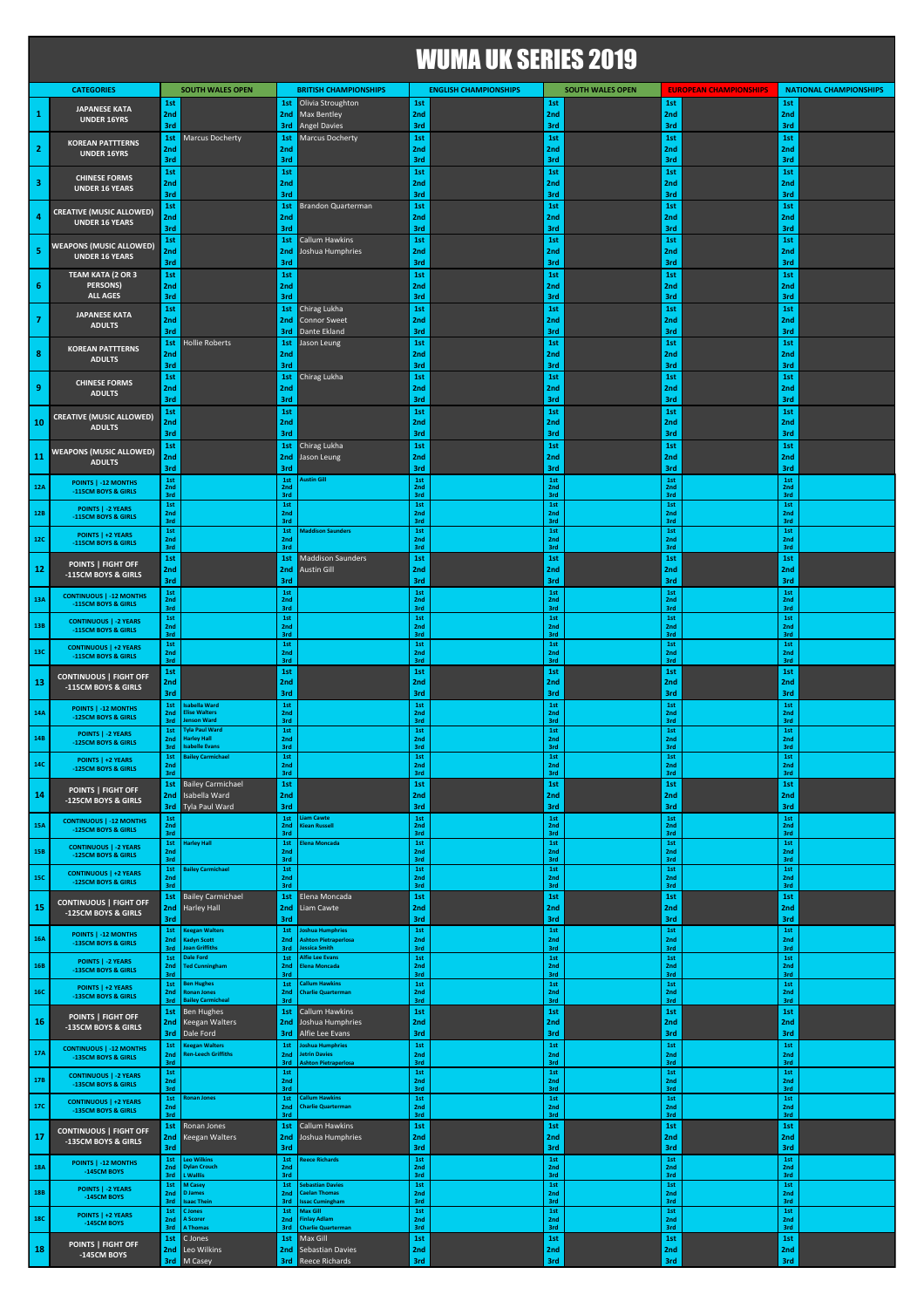## WUMA UK SERIES 2019

|                |                                                       |                   |                                                                         |                        |                                                    | TTVIIIN VILVEIIIEV AV IV |                              |                        |                         |                               |                               |                        |                               |
|----------------|-------------------------------------------------------|-------------------|-------------------------------------------------------------------------|------------------------|----------------------------------------------------|--------------------------|------------------------------|------------------------|-------------------------|-------------------------------|-------------------------------|------------------------|-------------------------------|
|                | <b>CATEGORIES</b>                                     |                   | <b>SOUTH WALES OPEN</b>                                                 |                        | <b>BRITISH CHAMPIONSHIPS</b>                       |                          | <b>ENGLISH CHAMPIONSHIPS</b> |                        | <b>SOUTH WALES OPEN</b> |                               | <b>EUROPEAN CHAMPIONSHIPS</b> |                        | <b>NATIONAL CHAMPIONSHIPS</b> |
| $\mathbf 1$    | <b>JAPANESE KATA</b>                                  | 1st<br>2nd        |                                                                         | 1st<br>2nd             | Olivia Stroughton<br><b>Max Bentley</b>            | 1st<br>2nd               |                              | 1st<br>2nd             |                         | 1st<br>2nd                    |                               | 1st<br>2nd             |                               |
|                | <b>UNDER 16YRS</b>                                    | 3rd<br>1st        | <b>Marcus Docherty</b>                                                  | 3rd<br>1st             | <b>Angel Davies</b><br>Marcus Docherty             | 3rd<br>1st               |                              | 3rd<br>1st             |                         | 3rd<br>1st                    |                               | 3rd<br>1st             |                               |
| $\mathbf{2}$   | <b>KOREAN PATTTERNS</b><br><b>UNDER 16YRS</b>         | 2nd               |                                                                         | 2 <sub>nd</sub>        |                                                    | 2nd                      |                              | 2nd                    |                         | 2nd                           |                               | 2nd                    |                               |
|                |                                                       | 3rd<br>1st        |                                                                         | 3rd<br>1st             |                                                    | 3rd<br>1st               |                              | 3rd<br>1st             |                         | 3rd<br>1st                    |                               | 3rd<br>1st             |                               |
| 3              | <b>CHINESE FORMS</b><br><b>UNDER 16 YEARS</b>         | 2nd<br>3rd        |                                                                         | 2nd<br>3rd             |                                                    | 2nd<br>3rd               |                              | 2nd<br>3rd             |                         | 2nd<br>3rd                    |                               | 2nd<br>3rd             |                               |
|                | <b>CREATIVE (MUSIC ALLOWED)</b>                       | 1st               |                                                                         | 1st                    | Brandon Quarterman                                 | 1st                      |                              | 1st                    |                         | 1st                           |                               | 1st                    |                               |
| 4              | <b>UNDER 16 YEARS</b>                                 | 2nd<br>3rd        |                                                                         | 2 <sub>nd</sub><br>3rd |                                                    | 2nd<br>3rd               |                              | 2nd<br>3rd             |                         | 2nd<br>3rd                    |                               | 2nd<br>3rd             |                               |
| 5              | <b>WEAPONS (MUSIC ALLOWED)</b>                        | 1st<br>2nd        |                                                                         | 1st<br>2nd             | Callum Hawkins<br>Joshua Humphries                 | 1st<br>2nd               |                              | 1st<br>2nd             |                         | 1st<br>2nd                    |                               | 1st<br>2nd             |                               |
|                | <b>UNDER 16 YEARS</b>                                 | 3rd               |                                                                         | 3rd                    |                                                    | 3rd                      |                              | 3rd                    |                         | 3rd                           |                               | 3rd                    |                               |
| 6              | TEAM KATA (2 OR 3<br><b>PERSONS)</b>                  | 1st<br>2nd        |                                                                         | 1st<br>2nd             |                                                    | 1st<br>2nd               |                              | 1st<br>2nd             |                         | 1st<br>2nd                    |                               | 1st<br>2nd             |                               |
|                | <b>ALL AGES</b>                                       | 3rd<br>1st        |                                                                         | 3rd<br>1st             | Chirag Lukha                                       | 3rd<br>1st               |                              | 3rd<br>1st             |                         | 3rd<br>1st                    |                               | 3rd<br>1st             |                               |
| $\overline{7}$ | <b>JAPANESE KATA</b><br><b>ADULTS</b>                 | 2nd               |                                                                         | 2nd                    | <b>Connor Sweet</b>                                | 2nd                      |                              | 2nd                    |                         | 2nd                           |                               | 2nd                    |                               |
|                | <b>KOREAN PATTTERNS</b>                               | 3rd<br>1st        | Hollie Roberts                                                          | 3rd<br>1st             | Dante Ekland<br>Jason Leung                        | 3rd<br>1st               |                              | 3rd<br>1st             |                         | 3rd<br>1st                    |                               | 3rd<br>1st             |                               |
| 8              | <b>ADULTS</b>                                         | 2nd<br>3rd        |                                                                         | 2 <sub>nd</sub><br>3rd |                                                    | 2nd<br>3rd               |                              | 2nd<br>3rd             |                         | 2nd<br>3rd                    |                               | 2nd<br>3rd             |                               |
|                | <b>CHINESE FORMS</b>                                  | 1st               |                                                                         | 1st                    | Chirag Lukha                                       | 1st                      |                              | 1st                    |                         | 1st                           |                               | 1st                    |                               |
| 9              | <b>ADULTS</b>                                         | 2nd<br>3rd        |                                                                         | 2nd<br>3rd             |                                                    | 2nd<br>3rd               |                              | 2nd<br>3rd             |                         | 2nd<br>3rd                    |                               | 2nd<br>3rd             |                               |
| 10             | <b>CREATIVE (MUSIC ALLOWED)</b>                       | 1st<br>2nd        |                                                                         | 1st<br>2nd             |                                                    | 1st<br>2nd               |                              | 1st<br>2nd             |                         | 1st<br>2nd                    |                               | 1st<br>2nd             |                               |
|                | <b>ADULTS</b>                                         | 3rd               |                                                                         | 3rd                    |                                                    | 3rd<br>1st               |                              | 3rd                    |                         | 3rd                           |                               | 3rd                    |                               |
| 11             | <b>WEAPONS (MUSIC ALLOWED)</b><br><b>ADULTS</b>       | 1st<br>2nd        |                                                                         | 1st                    | Chirag Lukha<br>2nd Jason Leung                    | 2nd                      |                              | 1st<br>2nd             |                         | 1st<br>2nd                    |                               | 1st<br>2nd             |                               |
|                | POINTS   -12 MONTHS                                   | 3rd<br>1st        |                                                                         | 3rd<br>1st             | <b>Lustin Gill</b>                                 | 3rd<br>1st               |                              | 3rd<br>1st             |                         | 3rd<br>1st                    |                               | 3rd<br>1st             |                               |
| 12A            | -115CM BOYS & GIRLS                                   | 2nd<br>3rd        |                                                                         | 2nd<br>3rd             |                                                    | 2nd<br>3rd               |                              | 2nd<br>3rd             |                         | 2 <sub>nd</sub><br>3rd        |                               | 2 <sub>nd</sub><br>3rd |                               |
| <b>12B</b>     | POINTS   -2 YEARS<br>-115CM BOYS & GIRLS              | 1st<br>2nd<br>3rd |                                                                         | 1st<br>2nd<br>3rd      |                                                    | 1st<br>2nd<br>3rd        |                              | 1st<br>2nd<br>3rd      |                         | 1st<br>2nd<br>3rd             |                               | 1st<br>2nd<br>3rd      |                               |
| <b>12C</b>     | POINTS   +2 YEARS                                     | 1st<br>2nd        |                                                                         | 1st<br>2nd             | <b>Maddison Saunders</b>                           | 1st<br>2nd               |                              | 1st<br>2nd             |                         | 1st<br>2nd                    |                               | 1st<br>2nd             |                               |
|                | -115CM BOYS & GIRLS                                   | 3rd<br>1st        |                                                                         | 3rd<br>1st             | <b>Maddison Saunders</b>                           | 3rd<br>1st               |                              | 3rd<br>1st             |                         | 3rd<br>1st                    |                               | 3rd<br>1st             |                               |
| 12             | POINTS   FIGHT OFF<br>-115CM BOYS & GIRLS             | 2nd<br>3rd        |                                                                         | 2nd<br>3rd             | <b>Austin Gill</b>                                 | 2nd<br>3rd               |                              | 2nd<br>3rd             |                         | 2nd<br>3rd                    |                               | 2nd<br>3rd             |                               |
| 13A            | <b>CONTINUOUS   -12 MONTHS</b>                        | 1st<br>2nd        |                                                                         | 1st<br>2nd             |                                                    | 1st<br>2nd               |                              | 1st<br>2nd             |                         | 1st<br>2nd                    |                               | 1st<br>2nd             |                               |
|                | 115CM BOYS & GIRLS                                    | 3rd<br>1st        |                                                                         | 3rd<br>$1st$           |                                                    | 3rd<br>1st               |                              | 3rd<br>1st             |                         | 3rd<br>1st                    |                               | 3rd<br>1st             |                               |
| 13B            | <b>CONTINUOUS   -2 YEARS</b><br>-115CM BOYS & GIRLS   | 2nd<br>3rd        |                                                                         | 2nd<br>3rd             |                                                    | 2nd<br>3rd               |                              | 2nd<br>3rd             |                         | 2nd<br>3rd                    |                               | 2nd<br>3rd             |                               |
| 13C            | <b>CONTINUOUS   +2 YEARS</b><br>-115CM BOYS & GIRLS   | 1st<br>2nd        |                                                                         | 1st<br>2 <sub>nd</sub> |                                                    | 1st<br>2nd               |                              | 1st<br>2 <sub>nd</sub> |                         | 1st<br>2nd                    |                               | 1st<br>2 <sub>nd</sub> |                               |
|                | <b>CONTINUOUS   FIGHT OFF</b>                         | 3rd<br>1st        |                                                                         | 3rd<br>1st             |                                                    | 3rd<br>1st               |                              | 3rd<br>1st             |                         | 3rd<br>1st                    |                               | 3rd<br>1st             |                               |
| 13             | -115CM BOYS & GIRLS                                   | 2nd<br>3rd        |                                                                         | 2nd<br>3rd             |                                                    | 2nd<br>3rd               |                              | 2nd<br>3rd             |                         | 2nd<br>3rd                    |                               | 2nd<br>3rd             |                               |
| 14A            | POINTS   -12 MONTHS                                   | 1st<br>2nd        | sabella Ward<br><b>Elise Walters</b>                                    | 1st<br>2nd             |                                                    | 1st<br>2nd               |                              | 1st<br>2 <sub>nd</sub> |                         | 1st<br>2 <sub>nd</sub>        |                               | 1st<br>2 <sub>nd</sub> |                               |
|                | -125CM BOYS & GIRLS<br>POINTS   -2 YEARS              | 3rd<br>1st        | nson Ward<br><b>Tyla Paul Ward</b>                                      | 3rd<br>$1st$           |                                                    | 3rd<br>1st               |                              | 3rd<br>1st             |                         | 3rd<br>1st                    |                               | 3rd<br>1st             |                               |
| 14B            | -125CM BOYS & GIRLS                                   | 2nd<br>3rd        | <b>Harley Hall</b><br><b>Isabelle Evans</b><br><b>Bailey Carmichael</b> | 2nd<br>3rd             |                                                    | 2nd<br>3rd               |                              | 2nd<br>3rd             |                         | 2 <sub>nd</sub><br>3rd        |                               | 2 <sub>nd</sub><br>3rd |                               |
| 14C            | POINTS   +2 YEARS<br>-125CM BOYS & GIRLS              | 1st<br>2nd<br>3rd |                                                                         | 1st<br>3rd             |                                                    | 1st<br>2nd<br>3rd        |                              | 1st<br>2nc<br>3rd      |                         | 1st<br>3rd                    |                               | 1st<br>2nc<br>3rd      |                               |
| 14             | POINTS   FIGHT OFF                                    | 1st               | <b>Bailey Carmichael</b><br>Isabella Ward                               | 1st                    |                                                    | 1st                      |                              | 1st                    |                         | 1st                           |                               | 1st                    |                               |
|                | -125CM BOYS & GIRLS                                   | 2nd               | <b>3rd</b> Tyla Paul Ward                                               | 2nd<br>3rd             |                                                    | 2nd<br>3rd               |                              | 2nd<br>3rd             |                         | 2nd<br>3rd                    |                               | 2nd<br>3rd             |                               |
| 15A            | <b>CONTINUOUS   -12 MONTHS</b><br>-125CM BOYS & GIRLS | 1st<br>2nd<br>3rd |                                                                         | 1st<br>2nd<br>3rd      | iam Cawte<br>Kiean Russell                         | 1st<br>2nd<br>3rd        |                              | $1st$<br>2nd<br>3rd    |                         | $1st$<br>2nd<br>3rd           |                               | 1st<br>2nd<br>3rd      |                               |
| <b>15B</b>     | <b>CONTINUOUS   -2 YEARS</b>                          | 1st<br>2nd        | Harley Hall                                                             | 1st<br>2nd             | lena Moncada                                       | 1st<br>2nd               |                              | 1st<br>2nd             |                         | 1st<br>2nd                    |                               | 1st<br>2nd             |                               |
|                | -125CM BOYS & GIRLS<br><b>CONTINUOUS   +2 YEARS</b>   | 3rd<br>1st        | ailey Carmichael                                                        | 3rd<br>$1st$           |                                                    | 3rd<br>1st               |                              | 3rd<br>$1st$           |                         | 3rd<br>$1st$                  |                               | 3rd<br>1st             |                               |
| 15C            | -125CM BOYS & GIRLS                                   | 2nd<br>3rd        |                                                                         | 2 <sub>nd</sub><br>3rd |                                                    | 2nd<br>3rd               |                              | 2nd<br>3rd             |                         | 2nd<br>3rd                    |                               | 2nd<br>3rd             |                               |
| 15             | <b>CONTINUOUS   FIGHT OFF</b><br>-125CM BOYS & GIRLS  | 1st<br>2nd        | <b>Bailey Carmichael</b><br>Harley Hall                                 | 1st<br>2nd             | Elena Moncada<br>Liam Cawte                        | 1st<br>2nd               |                              | 1st<br>2nd             |                         | 1st<br>2nd                    |                               | 1st<br>2nd             |                               |
|                |                                                       | 3rd<br>1st        | <b>Keegan Walters</b>                                                   | 3rd<br>1st             | oshua Humphries                                    | 3rd<br>1st               |                              | 3rd<br>1st             |                         | 3rd<br>1st                    |                               | 3rd<br>1st             |                               |
| 16A            | POINTS   -12 MONTHS<br>-135CM BOYS & GIRLS            | 2nd<br>3rd        | Kadyn Scott<br><b>Joan Griffiths</b>                                    | 2nd<br>3rd             | <b>Ashton Pietraperlosa</b><br>Jessica Smith       | 2nd<br>3rd               |                              | 2nd<br>3rd             |                         | 2nd<br>3rd                    |                               | 2nd<br>3rd             |                               |
| <b>16B</b>     | POINTS   -2 YEARS<br>-135CM BOYS & GIRLS              | 1st<br>2nd        | <b>Dale Ford</b><br><b>Ted Cunningham</b>                               | 1st<br>2nd             | <b>Alfie Lee Evans</b><br>Elena Moncada            | 1st<br>2nd               |                              | $1st$<br>2nd           |                         | $1st$<br>2nd                  |                               | 1st<br>2nd             |                               |
|                | POINTS   +2 YEARS                                     | 3rd<br>1st        | <b>Ben Hughes</b>                                                       | 3rd<br>1st             | <b>Callum Hawkins</b>                              | 3rd<br>1st               |                              | 3rd<br>1st             |                         | 3rd<br>1st                    |                               | 3rd<br>1st             |                               |
| <b>16C</b>     | -135CM BOYS & GIRLS                                   | 2nd<br>3rd        | <b>Ronan Jones</b><br><b>Bailey Carmicheal</b>                          | 2nd<br>3rd             | <b>Charlie Quarterman</b>                          | 2nd<br>3rd               |                              | 2nd<br>3rd<br>1st      |                         | 2nd<br>3rd<br>1st             |                               | 2nd<br>3rd<br>1st      |                               |
| 16             | POINTS   FIGHT OFF<br>-135CM BOYS & GIRLS             | 1st<br>2nd        | Ben Hughes<br><b>Keegan Walters</b>                                     | 1st<br>2nd             | Callum Hawkins<br>Joshua Humphries                 | 1st<br>2nd               |                              | 2nd                    |                         | 2nd                           |                               | 2nd                    |                               |
|                |                                                       | 1st               | <b>3rd</b> Dale Ford<br><b>Keegan Walters</b>                           | 3rd<br>1st             | Alfie Lee Evans<br>oshua Humphries                 | 3rd<br>1st               |                              | 3rd<br>1st             |                         | 3rd<br>1st                    |                               | 3rd<br>1st             |                               |
| 17A            | <b>CONTINUOUS   -12 MONTHS</b><br>-135CM BOYS & GIRLS | 2nd<br>3rd        | <b>Ren-Leech Griffiths</b>                                              | 2nd<br>3rd             | Jetrin Davies<br><b>Ashton Pietraperlosa</b>       | 2nd<br>3rd               |                              | 2nd<br>3rd             |                         | 2nd<br>3rd                    |                               | 2nd<br>3rd             |                               |
| 17B            | <b>CONTINUOUS   -2 YEARS</b><br>-135CM BOYS & GIRLS   | 1st<br>2nd        |                                                                         | 1st<br>2nd             |                                                    | 1st<br>2nd               |                              | 1st<br>2nd             |                         | 1st<br>2nd                    |                               | 1st<br>2nd             |                               |
| 17C            | <b>CONTINUOUS   +2 YEARS</b>                          | 3rd<br>1st<br>2nd | Ronan Jones                                                             | 3rd<br>1st<br>2nd      | <b>Callum Hawkins</b><br><b>Charlie Quarterman</b> | 3rd<br>1st<br>2nd        |                              | 3rd<br>1st<br>2nd      |                         | 3rd<br>1st<br>2 <sub>nd</sub> |                               | 3rd<br>1st<br>2nd      |                               |
|                | -135CM BOYS & GIRLS                                   | 3rd<br>1st        | Ronan Jones                                                             | 3rd<br>1st             | Callum Hawkins                                     | 3rd<br>1st               |                              | 3rd<br>1st             |                         | 3rd<br>1st                    |                               | 3rd<br>1st             |                               |
| 17             | <b>CONTINUOUS   FIGHT OFF</b><br>-135CM BOYS & GIRLS  | 2nd               | Keegan Walters                                                          | 2nd                    | Joshua Humphries                                   | 2nd                      |                              | 2nd                    |                         | 2nd                           |                               | 2nd                    |                               |
|                | POINTS   -12 MONTHS                                   | 3rd<br>1st        | <b>Leo Wilkins</b>                                                      | 3rd<br>1st             | Reece Richards                                     | 3rd<br>1st               |                              | 3rd<br>1st             |                         | 3rd<br>1st                    |                               | 3rd<br>1st             |                               |
| <b>18A</b>     | -145CM BOYS                                           | 2nd<br>3rd        | <b>Dylan Crouch</b><br>L Walllis                                        | 2nd<br>3rd             | <b>Sebastian Davies</b>                            | 2nd<br>3rd               |                              | 2nd<br>3rd             |                         | 2nd<br>3rd                    |                               | 2nd<br>3rd             |                               |
| <b>18B</b>     | POINTS   -2 YEARS<br>-145CM BOYS                      | 1st<br>2nd<br>3rd | M Casey<br><b>D</b> James<br><b>Isaac Thein</b>                         | 1st<br>2nd<br>3rd      | <b>Caelan Thomas</b><br>ssac Cumingham             | 1st<br>2nd<br>3rd        |                              | 1st<br>2nd<br>3rd      |                         | 1st<br>2nd<br>3rd             |                               | 1st<br>2nd<br>3rd      |                               |
| <b>18C</b>     | POINTS   +2 YEARS<br>-145CM BOYS                      | 1st<br>2nd        | <b>C</b> Jones<br>A Scorer                                              | 1st<br>2nd             | Max Gill<br>inlay Adlam                            | 1st<br>2nd               |                              | 1st<br>2nd             |                         | 1st<br>2nd                    |                               | 1st<br>2nd             |                               |
|                |                                                       | 3rd<br>1st        | <b>A Thomas</b><br>C Jones                                              | 3rd<br>1st             | <b>Charlie Quarterman</b><br>Max Gill              | 3rd<br>1st               |                              | 3rd<br>1st             |                         | 3rd<br>1st                    |                               | 3rd<br>1st             |                               |
| 18             | POINTS   FIGHT OFF<br>-145CM BOYS                     |                   | 2nd Leo Wilkins<br><b>3rd</b> M Casey                                   | 3rd                    | 2nd Sebastian Davies<br>Reece Richards             | 2nd<br>3rd               |                              | 2nd<br>3rd             |                         | 2nd<br>3rd                    |                               | 2nd<br>3rd             |                               |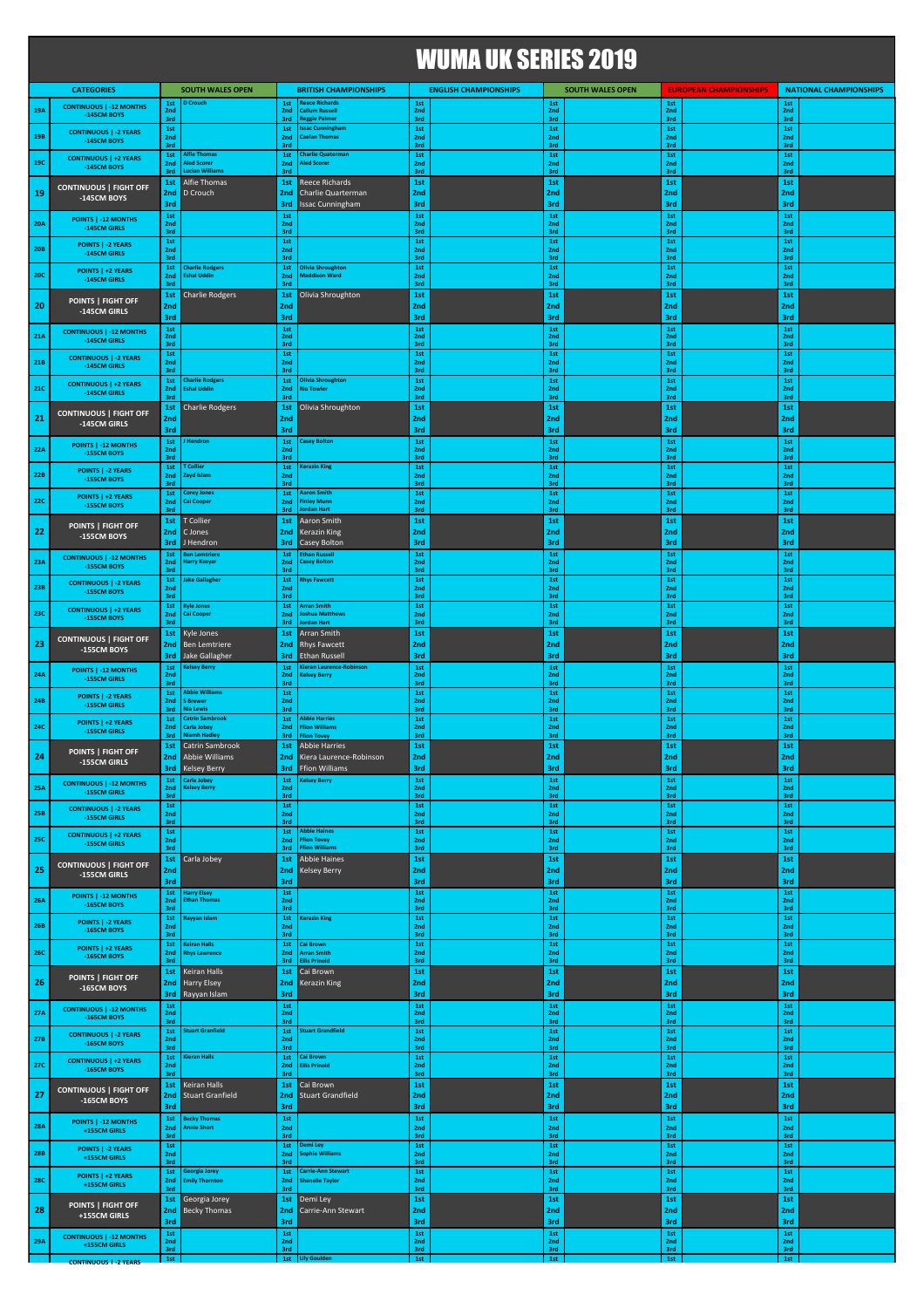|            |                                                |                     |                                                          |                     |                                                                           |                       | <b>WUMA UK SERIES 2019</b>   |                               |                         |                                 |                               |                               |                               |  |
|------------|------------------------------------------------|---------------------|----------------------------------------------------------|---------------------|---------------------------------------------------------------------------|-----------------------|------------------------------|-------------------------------|-------------------------|---------------------------------|-------------------------------|-------------------------------|-------------------------------|--|
|            | <b>CATEGORIES</b>                              |                     | <b>SOUTH WALES OPEN</b>                                  |                     | <b>BRITISH CHAMPIONSHIPS</b>                                              |                       | <b>ENGLISH CHAMPIONSHIPS</b> |                               | <b>SOUTH WALES OPEN</b> |                                 | <b>EUROPEAN CHAMPIONSHIPS</b> |                               | <b>NATIONAL CHAMPIONSHIPS</b> |  |
| 19A        | <b>CONTINUOUS   -12 MONTHS</b><br>-145CM BOYS  | 1st<br>2nd<br>3rd   | <b>D</b> Crouch                                          | 1st<br>2nd<br>3rd   | <b>Reece Richards</b><br><b>Callum Russel</b><br><b>Reggie Palmer</b>     | 1st<br>2nd<br>3rd     |                              | 1st<br>2nd<br>3rd             |                         | 1st<br>2nd<br>3rd               |                               | 1st<br>2nd<br>3rd             |                               |  |
| 19B        | <b>CONTINUOUS   -2 YEARS</b><br>-145CM BOYS    | 1st<br>2nd<br>3rd   |                                                          | 1st<br>2nd<br>3rd   | ssac Cunningham<br><b>Caelan Thomas</b>                                   | 1st<br>2nd<br>3rd     |                              | 1st<br>2nd<br>3rd             |                         | 1st<br>2nd<br>3rd               |                               | 1st<br>2nd<br>3rd             |                               |  |
| <b>19C</b> | <b>CONTINUOUS   +2 YEARS</b><br>-145CM BOYS    | 1st<br>2nd          | <b>Alfie Thomas</b><br><b>Aled Scorer</b>                | 1st<br>2nd          | <b>Charlie Quaterman</b><br><b>Aled Scorer</b>                            | 1st<br>2nd            |                              | 1st<br>2nd                    |                         | 1st<br>2nd                      |                               | 1st<br>2nd                    |                               |  |
|            | <b>CONTINUOUS   FIGHT OFF</b>                  | 3rd<br>1st          | ucian William<br>Alfie Thomas                            | 3rd<br>1st          | Reece Richards                                                            | 3rd<br>1st            |                              | 3rd<br>1st                    |                         | 3rd<br>1st                      |                               | 3rd<br>1st                    |                               |  |
| 19         | -145CM BOYS                                    | 2nd<br>3rd          | D Crouch                                                 | 2nd<br>3rd          | Charlie Quarterman<br><b>Issac Cunningham</b>                             | 2nd<br>3rd            |                              | 2nd<br>3rd                    |                         | 2 <sub>nd</sub><br>3rd          |                               | 2 <sub>nd</sub><br>3rd        |                               |  |
| <b>20A</b> | POINTS   -12 MONTHS<br>-145CM GIRLS            | $1st$<br>2nd<br>3rd |                                                          | 1st<br>2nd<br>3rd   |                                                                           | 1st<br>2nd<br>3rd     |                              | 1st<br>2 <sub>nd</sub><br>3rd |                         | $1st$<br>2 <sub>nd</sub><br>3rd |                               | 1st<br>2 <sub>nd</sub><br>3rd |                               |  |
| <b>20B</b> | POINTS   -2 YEARS<br>-145CM GIRLS              | 1st<br>2nd<br>3rd   |                                                          | 1st<br>2nd<br>3rd   |                                                                           | 1st<br>2nd<br>3rd     |                              | 1st<br>2nd<br>3rd             |                         | 1st<br>2nd<br>3rd               |                               | 1st<br>2nd<br>3rd             |                               |  |
| <b>20C</b> | POINTS   +2 YEARS<br>-145CM GIRLS              | 1st<br>2nd<br>3rd   | <b>Charlie Rodgers</b><br><b>Eshal Uddin</b>             | 1st<br>2nd<br>3rd   | <b>Olivia Shroughton</b><br><b>Maddison Ward</b>                          | $1st$<br>2nd<br>3rd   |                              | 1st<br>2nd<br>3rd             |                         | 1st<br>2nd<br>3rd               |                               | 1st<br>2nd<br>3rd             |                               |  |
| 20         | POINTS   FIGHT OFF                             | 1st<br>2nd          | <b>Charlie Rodgers</b>                                   | 1st<br>2nd          | Olivia Shroughton                                                         | 1st<br>2nd            |                              | 1st<br>2nd                    |                         | 1st<br>2nd                      |                               | 1st<br>2nd                    |                               |  |
|            | -145CM GIRLS<br><b>CONTINUOUS   -12 MONTHS</b> | 3rd<br>1st          |                                                          | 3rd<br>1st          |                                                                           | 3rd<br>$1st\,$        |                              | 3rd<br>1st                    |                         | 3rd<br>1st                      |                               | 3rd<br>1st                    |                               |  |
| 21A        | -145CM GIRLS<br><b>CONTINUOUS   -2 YEARS</b>   | 2nd<br>3rd<br>1st   |                                                          | 2nd<br>3rd<br>1st   |                                                                           | 2nd<br>3rd<br>1st     |                              | 2nd<br>3rd<br>1st             |                         | 2nd<br>3rd<br>1st               |                               | 2nd<br>3rd<br>1st             |                               |  |
| <b>21B</b> | -145CM GIRLS                                   | 2nd<br>3rd<br>1st   | <b>Charlie Rodgers</b>                                   | 2nd<br>3rd<br>1st   | <b>Olivia Shroughton</b>                                                  | 2nd<br>3rd<br>1st     |                              | 2 <sub>nd</sub><br>3rd<br>1st |                         | 2nd<br>3rd<br>1st               |                               | 2nd<br>3rd<br>1st             |                               |  |
| <b>21C</b> | <b>CONTINUOUS   +2 YEARS</b><br>-145CM GIRLS   | 2nd<br>3rd          | <b>Eshal Uddin</b>                                       | 2nd<br>3rd          | <b>Rio Towler</b>                                                         | 2nd<br>3rd            |                              | 2nd<br>3rd                    |                         | 2nd<br>3rd                      |                               | 2nd<br>3rd                    |                               |  |
| 21         | <b>CONTINUOUS   FIGHT OFF</b><br>-145CM GIRLS  | 1st<br>2nd<br>3rd   | <b>Charlie Rodgers</b>                                   | 1st<br>2nd          | Olivia Shroughton                                                         | 1st<br>2nd            |                              | 1st<br>2nd                    |                         | 1st<br>2nd                      |                               | 1st<br>2nd                    |                               |  |
| 22A        | POINTS   -12 MONTHS<br>-155CM BOYS             | 1st<br>2nd          | <b>Hendron</b>                                           | 3rd<br>1st<br>2nd   | <b>Casey Bolton</b>                                                       | 3rd<br>1st<br>2nd     |                              | 3rd<br>1st<br>2nd             |                         | 3rd<br>1st<br>2 <sub>nd</sub>   |                               | 3rd<br>1st<br>2nd             |                               |  |
| 22B        | <b>POINTS   -2 YEARS</b>                       | 3rd<br>1st<br>2nd   | Collier<br>Zayd Islam                                    | 3rd<br>1st<br>2nd   | <b>Kerazin King</b>                                                       | 3rd<br>1st<br>2nd     |                              | 3rd<br>1st<br>2nd             |                         | 3rd<br>1st<br>2nd               |                               | 3rd<br>1st<br>2nd             |                               |  |
| <b>22C</b> | -155CM BOYS<br>POINTS   +2 YEARS               | 3rd<br>1st<br>2nd   | <b>Corey Jones</b><br>ai Cooper                          | 3rd<br>1st<br>2nd   | <b>Aaron Smith</b><br>inley Munn                                          | 3rd<br>1st<br>2nd     |                              | 3rd<br>1st<br>2nd             |                         | 3rd<br>1st<br>2nd               |                               | 3rd<br>1st<br>2nd             |                               |  |
|            | -155CM BOYS                                    | 3rd<br>1st          | T Collier                                                | 3rd<br>1st          | <b>Jordan Hart</b><br>Aaron Smith                                         | 3rd<br>1st            |                              | 3rd<br>1st                    |                         | 3rd<br>1st                      |                               | 3rd<br>1st                    |                               |  |
| 22         | POINTS   FIGHT OFF<br>-155CM BOYS              | 2nd<br>3rd          | C Jones<br>J Hendron                                     | 2nd<br>3rd          | <b>Kerazin King</b><br><b>Casey Bolton</b>                                | 2nd<br>3rd            |                              | 2nd<br>3rd                    |                         | 2 <sub>nd</sub><br>3rd          |                               | 2 <sub>nd</sub><br>3rd        |                               |  |
| 23A        | <b>CONTINUOUS   -12 MONTHS</b><br>-155CM BOYS  | 1st<br>2nd<br>3rd   | Ben Lemtriere<br>Harry Kosyar                            | 1st<br>2nd<br>3rd   | <b>Ethan Russel</b><br><b>Casey Bolton</b>                                | 1st<br>2nd<br>3rd     |                              | 1st<br>2nd<br>3rd             |                         | 1st<br>2nd<br>3rd               |                               | 1st<br>2nd<br>3rd             |                               |  |
| 23B        | <b>CONTINUOUS   -2 YEARS</b><br>-155CM BOYS    | 1st<br>2nd<br>3rd   | ake Gallagher                                            | $1st$<br>2nd<br>3rd | <b>Rhys Fawcett</b>                                                       | $1st\,$<br>2nd<br>3rd |                              | 1st<br>2nd<br>3rd             |                         | 1st<br>2nd<br>3rd               |                               | 1st<br>2nd<br>3rd             |                               |  |
| <b>23C</b> | <b>CONTINUOUS   +2 YEARS</b><br>-155CM BOYS    | 1st<br>2nd<br>3rd   | <b>Kyle Jones</b><br><b>Cai Cooper</b>                   | 1st<br>2nd<br>3rd   | <b>Arran Smith</b><br><b>Joshua Matthews</b><br><b>ordan Hart</b>         | 1st<br>2nd<br>3rd     |                              | 1st<br>2nd<br>3rd             |                         | 1st<br>2nd<br>3rd               |                               | 1st<br>2nd<br>3rd             |                               |  |
| 23         | <b>CONTINUOUS   FIGHT OFF</b>                  | 1st<br>2nd          | Kyle Jones<br><b>Ben Lemtriere</b>                       | 1st<br>2nd          | Arran Smith<br><b>Rhys Fawcett</b>                                        | 1st<br>2nd            |                              | 1st<br>2nd                    |                         | 1st<br>2 <sub>nd</sub>          |                               | 1st<br>2nd                    |                               |  |
|            | -155CM BOYS<br>POINTS   -12 MONTHS             | 3rd<br>1st          | Jake Gallagher<br>Celsey Berry                           | 3rd<br>1st          | <b>Ethan Russell</b><br>lieran Laurence-Robinson                          | 3rd<br>1st            |                              | 3rd<br>1st                    |                         | 3rd<br>1st                      |                               | 3rd<br>1st                    |                               |  |
| <b>24A</b> | -155CM GIRLS<br>POINTS   -2 YEARS              | 2nd<br>3rd<br>1st   | <b>Abbie Williams</b>                                    | 2nd<br>3rd<br>1st   | <b>Kelsey Berry</b>                                                       | 2nd<br>3rd<br>1st     |                              | 2 <sub>nd</sub><br>3rd<br>1st |                         | 2nd<br>3rd<br>$1st$             |                               | 2nd<br>3rd<br>1st             |                               |  |
| <b>24B</b> | -155CM GIRLS                                   | 2nd<br>3rd<br>1st   | <b>S</b> Brewer<br>Nia Lewis<br><b>Catrin Sambrook</b>   | 2nd<br>3rd<br>1st   | <b>Abbie Harries</b>                                                      | 2nd<br>3rd<br>1st     |                              | 2nd<br>3rd<br>1st             |                         | 2nd<br>3rd<br>1st               |                               | 2nd<br>3rd<br>1st             |                               |  |
| <b>24C</b> | <b>POINTS   +2 YEARS</b><br>-155CM GIRLS       | 2nd<br>3rd          | <b>Carla Jobey</b><br><b>Niamh Hadley</b>                | 2nd                 | <b>Ffion Williams</b><br>3rd   Ffion Tovey                                | 2nd<br>3rd            |                              | 2nd<br>3rd                    |                         | 2nd<br>3rd                      |                               | 2nd<br>3rd                    |                               |  |
| 24         | <b>POINTS   FIGHT OFF</b><br>-155CM GIRLS      | 1st<br>2nd<br>3rd   | Catrin Sambrook<br>Abbie Williams<br><b>Kelsey Berry</b> | 1st                 | Abbie Harries<br>2nd Kiera Laurence-Robinson<br><b>3rd</b> Ffion Williams | 1st<br>2nd<br>3rd     |                              | 1st<br>2nd<br>3rd             |                         | 1st<br>2nd<br>3rd               |                               | 1st<br>2nd<br>3rd             |                               |  |
| <b>25A</b> | <b>CONTINUOUS   -12 MONTHS</b><br>-155CM GIRLS | 1st<br>2nd          | <b>Carla Jobey</b><br><b>Kelsey Berry</b>                | 1st<br>2nd          | <b>Kelsey Berry</b>                                                       | $1st$<br>2nd          |                              | $1st$<br>2nd                  |                         | $1st\,$<br>2nd                  |                               | 1st<br>2nd                    |                               |  |
| <b>25B</b> | <b>CONTINUOUS   -2 YEARS</b><br>-155CM GIRLS   | 3rd<br>1st<br>2nd   |                                                          | 3rd<br>1st<br>2nd   |                                                                           | 3rd<br>1st<br>2nd     |                              | 3rd<br>1st<br>2nd             |                         | 3rd<br>1st<br>2nd               |                               | 3rd<br>1st<br>2nd             |                               |  |
| <b>25C</b> | <b>CONTINUOUS   +2 YEARS</b>                   | 3rd<br>1st<br>2nd   |                                                          | 3rd<br>1st<br>2nd   | <b>Abbie Haines</b><br><b>Ffion Tovey</b>                                 | 3rd<br>$1st\,$<br>2nd |                              | 3rd<br>1st<br>2nd             |                         | 3rd<br>$1st$<br>2nd             |                               | 3rd<br>1st<br>2nd             |                               |  |
|            | -155CM GIRLS<br><b>CONTINUOUS   FIGHT OFF</b>  | 3rd<br>1st          | Carla Jobey                                              | 3rd<br>1st          | <b>Ffion Williams</b><br>Abbie Haines                                     | 3rd<br>1st            |                              | 3rd<br>1st                    |                         | 3rd<br>1st                      |                               | 3rd<br>1st                    |                               |  |
| 25         | -155CM GIRLS                                   | 2nd<br>3rd          |                                                          | 2nd<br>3rd          | <b>Kelsey Berry</b>                                                       | 2nd<br>3rd            |                              | 2nd<br>3rd                    |                         | 2nd<br>3rd                      |                               | 2nd<br>3rd                    |                               |  |
| <b>26A</b> | POINTS   -12 MONTHS<br>-165CM BOYS             | 1st<br>2nd<br>3rd   | Harry Elsey<br><b>Ethan Thomas</b>                       | $1st$<br>2nd<br>3rd |                                                                           | 1st<br>2nd<br>3rd     |                              | 1st<br>2nd<br>3rd             |                         | 1st<br>2nd<br>3rd               |                               | 1st<br>2nd<br>3rd             |                               |  |
| <b>26B</b> | <b>POINTS   -2 YEARS</b><br>-165CM BOYS        | 1st<br>2nd<br>3rd   | Rayyan Islam                                             | 1st<br>2nd<br>3rd   | <b>Kerazin King</b>                                                       | 1st<br>2nd<br>3rd     |                              | 1st<br>2nd<br>3rd             |                         | 1st<br>2nd<br>3rd               |                               | 1st<br>2nd<br>3rd             |                               |  |
| <b>26C</b> | POINTS   +2 YEARS<br>$-165$ CM BOYS            | 1st<br>2nd<br>3rd   | (eiran Halls<br><b>Rhys Lawrence</b>                     | 1st<br>2nd<br>3rd   | <b>Cai Brown</b><br><b>Arran Smith</b><br><b>Ellis Prinold</b>            | 1st<br>2nd<br>3rd     |                              | 1st<br>2nd<br>3rd             |                         | 1st<br>2nd<br>3rd               |                               | 1st<br>2nd<br>3rd             |                               |  |
| 26         | POINTS   FIGHT OFF<br>-165CM BOYS              | 1st<br>2nd          | Keiran Halls<br><b>Harry Elsey</b>                       | 1st<br>2nd          | Cai Brown<br>Kerazin King                                                 | 1st<br>2nd            |                              | 1st<br>2nd                    |                         | 1st<br>2nd                      |                               | 1st<br>2nd                    |                               |  |
| <b>27A</b> | <b>CONTINUOUS   -12 MONTHS</b>                 | 3rd<br>1st<br>2nd   | Rayyan Islam                                             | 3rd<br>1st<br>2nd   |                                                                           | 3rd<br>1st<br>2nd     |                              | 3rd<br>1st<br>2 <sub>nd</sub> |                         | 3rd<br>1st<br>2nd               |                               | 3rd<br>1st<br>2nd             |                               |  |
|            | -165CM BOYS<br><b>CONTINUOUS   -2 YEARS</b>    | 3rd<br>1st          | <b>Stuart Granfield</b>                                  | 3rd<br>1st          | <b>Stuart Grandfield</b>                                                  | 3rd<br>1st            |                              | 3rd<br>1st                    |                         | 3rd<br>1st                      |                               | 3rd<br>1st                    |                               |  |
| <b>27B</b> | -165CM BOYS<br><b>CONTINUOUS   +2 YEARS</b>    | 2nd<br>3rd<br>1st   | Kieran Halls                                             | 2nd<br>3rd<br>1st   | Cai Brown                                                                 | 2nd<br>3rd<br>1st     |                              | 2nd<br>3rd<br>1st             |                         | 2nd<br>3rd<br>1st               |                               | 2nd<br>3rd<br>1st             |                               |  |
| <b>27C</b> | -165CM BOYS                                    | 2nd<br>3rd<br>1st   | Keiran Halls                                             | 2nd<br>3rd<br>1st   | <b>Ellis Prinold</b><br>Cai Brown                                         | 2nd<br>3rd<br>1st     |                              | 2nd<br>3rd<br>1st             |                         | 2nd<br>3rd<br>1st               |                               | 2nd<br>3rd<br>1st             |                               |  |
| 27         | <b>CONTINUOUS   FIGHT OFF</b><br>-165CM BOYS   | 2nd<br>3rd          | <b>Stuart Granfield</b>                                  | 2nd<br>3rd          | Stuart Grandfield                                                         | 2nd<br>3rd            |                              | 2nd<br>3rd                    |                         | 2nd<br>3rd                      |                               | 2nd<br>3rd                    |                               |  |
| <b>28A</b> | POINTS   -12 MONTHS<br>+155CM GIRLS            | 1st<br>2nd          | <b>Becky Thomas</b><br><b>Annie Short</b>                | 1st<br>2nd          |                                                                           | 1st<br>2nd            |                              | 1st<br>2nd                    |                         | 1st<br>2nd                      |                               | 1st<br>2nd                    |                               |  |
| <b>28B</b> | POINTS   -2 YEARS<br>+155CM GIRLS              | 3rd<br>1st<br>2nd   |                                                          | 3rd<br>1st<br>2nd   | <b>Demi Ley</b><br>Sophie Williams                                        | 3rd<br>1st<br>2nd     |                              | 3rd<br>1st<br>2nd             |                         | 3rd<br>1st<br>2nd               |                               | 3rd<br>1st<br>2nd             |                               |  |
| <b>28C</b> | POINTS   +2 YEARS                              | 3rd<br>1st<br>2nd   | Georgia Jorey<br><b>Emily Thornton</b>                   | 3rd<br>1st<br>2nd   | <b>Carrie-Ann Stewart</b><br><b>Shanelle Taylor</b>                       | 3rd<br>$1st\,$<br>2nd |                              | 3rd<br>1st<br>2nd             |                         | 3rd<br>$1st\,$<br>2nd           |                               | 3rd<br>1st<br>2nd             |                               |  |
|            | +155CM GIRLS<br>POINTS   FIGHT OFF             | 3rd<br>1st          | Georgia Jorey                                            | 3rd<br>1st          | Demi Ley                                                                  | 3rd<br>1st            |                              | 3rd<br>1st                    |                         | 3rd<br>1st                      |                               | 3rd<br>1st                    |                               |  |
| 28         | +155CM GIRLS                                   | 3rd                 | 2nd Becky Thomas                                         | 2nd<br>3rd          | Carrie-Ann Stewart                                                        | 2nd<br>3rd            |                              | 2nd<br>3rd                    |                         | 2nd<br>3rd                      |                               | 2nd<br>3rd                    |                               |  |
| 29A        | <b>CONTINUOUS   -12 MONTHS</b><br>+155CM GIRLS | 1st<br>2nd<br>3rd   |                                                          | $1st$<br>2nd<br>3rd |                                                                           | 1st<br>2nd<br>3rd     |                              | 1st<br>2nd<br>3rd             |                         | 1st<br>2nd<br>3rd               |                               | 1st<br>2nd<br>3rd             |                               |  |

1st | 1st | 1st | 1st | 1st | 1st | 1st | 1st | 1st | 1st | 1st | 1st | 1st | 1st | 1st | 1st | 1st | 1st | 1s

**29B CONTINUOUS L.2 YEARS** 

ľ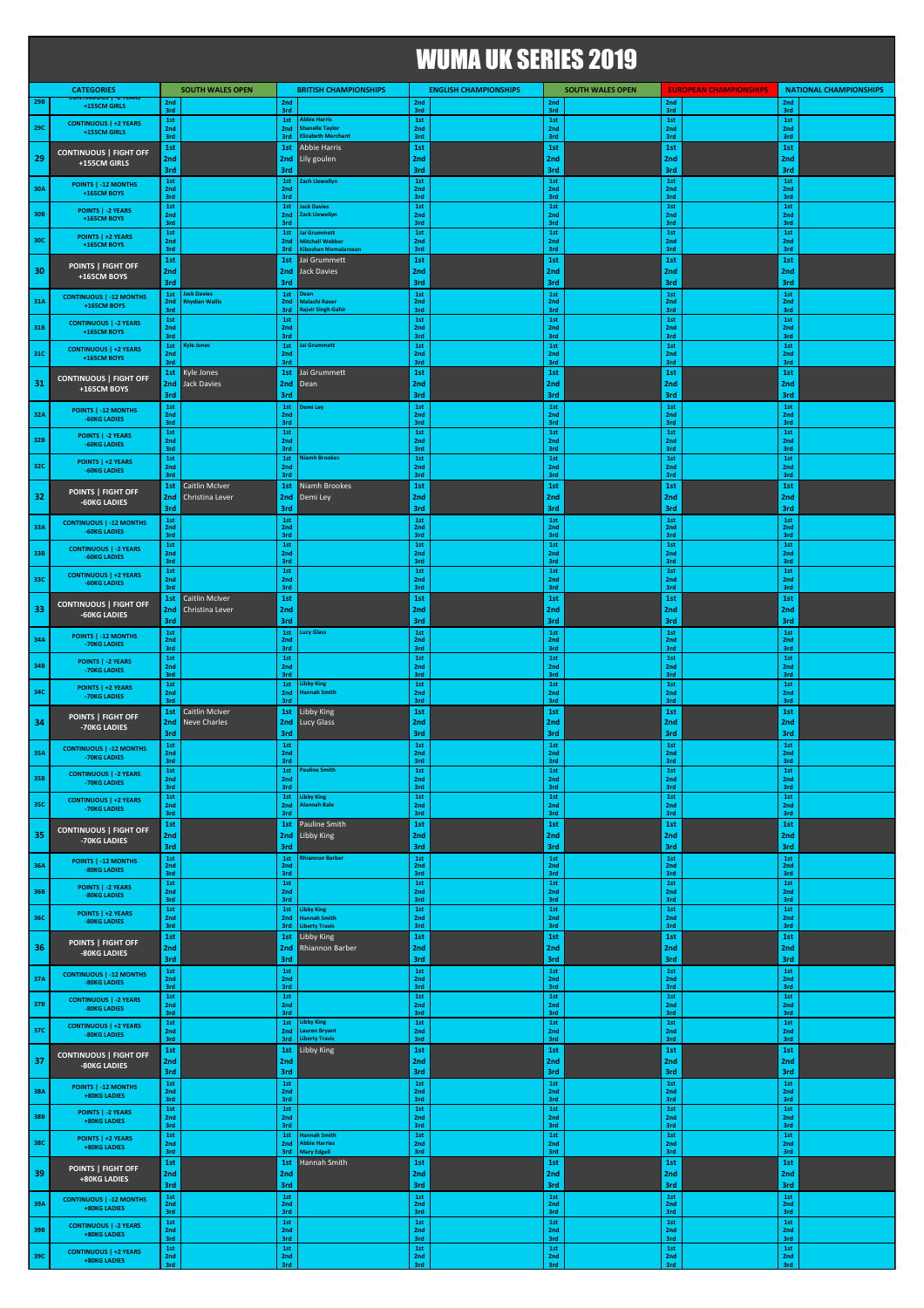|            |                                                                      |                               |                                     |                               |                                                            | <b>WUMA UK SERIES 2019</b>   |                              |                          |                         |                               |                               |                          |                               |
|------------|----------------------------------------------------------------------|-------------------------------|-------------------------------------|-------------------------------|------------------------------------------------------------|------------------------------|------------------------------|--------------------------|-------------------------|-------------------------------|-------------------------------|--------------------------|-------------------------------|
| 29B        | <b>CATEGORIES</b><br><b>CUNTINUOUS   - Z YEARS</b><br>+155CM GIRLS   | 2nd                           | <b>SOUTH WALES OPEN</b>             | 2nd                           | <b>BRITISH CHAMPIONSHIPS</b>                               | 2nd                          | <b>ENGLISH CHAMPIONSHIPS</b> | 2nd                      | <b>SOUTH WALES OPEN</b> | 2nd                           | <b>EUROPEAN CHAMPIONSHIPS</b> | 2nd                      | <b>NATIONAL CHAMPIONSHIPS</b> |
| <b>29C</b> | <b>CONTINUOUS   +2 YEARS</b><br>+155CM GIRLS                         | 3rd<br>1st<br>2nd             |                                     | 3rd<br>1st<br>2nd             | Abbie Harris<br><b>Shanelle Taylor</b>                     | 3rd<br>$1st\,$<br>2nd        |                              | 3rd<br>1st<br>2nd        |                         | 3rd<br>1st<br>2nd             |                               | 3rd<br>1st<br>2nd        |                               |
| 29         | <b>CONTINUOUS   FIGHT OFF</b>                                        | 3rd<br>1st<br>2nd             |                                     | 3rd<br>1st<br>2nd             | <b>Ilizabeth Merchant</b><br>Abbie Harris<br>Lily goulen   | 3rd<br>1st<br>2nd            |                              | 3rd<br>1st<br>2nd        |                         | 3rd<br>1st<br>2nd             |                               | 3rd<br>1st<br>2nd        |                               |
| 30A        | +155CM GIRLS<br>POINTS   -12 MONTHS                                  | 3rd<br>1st<br>2nd             |                                     | 3rd<br>1st<br>2nd             | Zach Llewellyn                                             | 3rd<br>1st<br>2nd            |                              | 3rd<br>1st<br>2nd        |                         | 3rd<br>1st<br>2nd             |                               | 3rd<br>1st<br>2nd        |                               |
| 30B        | <b>+165CM BOYS</b><br><b>POINTS   -2 YEARS</b><br><b>+165CM BOYS</b> | 3rd<br>1st<br>2nd             |                                     | 3rd<br>1st<br>2nd             | ack Davies<br>ack Llewellyn!                               | 3rd<br>1st<br>2nd            |                              | 3rd<br>1st<br>2nd        |                         | 3rd<br>1st<br>2nd             |                               | 3rd<br>1st<br>2nd        |                               |
| 30C        | POINTS   +2 YEARS<br><b>+165CM BOYS</b>                              | 3rd<br>1st<br>2nd             |                                     | 3rd<br>1st<br>2nd             | lai Grummett<br>Mitchell Webber                            | 3rd<br>1st<br>2nd            |                              | 3rd<br>1st<br>2nd        |                         | 3rd<br>1st<br>2nd             |                               | 3rd<br>1st<br>2nd        |                               |
| 30         | POINTS   FIGHT OFF                                                   | 3rd<br>1st<br>2nd             |                                     | 3rd<br>1st<br>2nd             | (iboshan Nivmalaroson<br>Jai Grummett<br>Jack Davies       | 3rd<br>1st<br>2nd            |                              | 3rd<br>1st<br>2nd        |                         | 3rd<br>1st<br>2nd             |                               | 3rd<br>1st<br>2nd        |                               |
| 31A        | +165CM BOYS<br><b>CONTINUOUS   -12 MONTHS</b>                        | 3rd<br>$1st$<br>2nd           | ack Davies<br><b>thydian Wallis</b> | 3rd<br>1st<br>2nd             | Dean<br>Malachi Raver                                      | 3rd<br>1st                   |                              | 3rd<br>1st<br>2nd        |                         | 3rd<br>1st<br>2nd             |                               | 3rd<br>$1st$<br>2nd      |                               |
| 31B        | <b>+165CM BOYS</b><br><b>CONTINUOUS   -2 YEARS</b>                   | 3rd<br>1st<br>2nd             |                                     | 3rd<br>1st<br>2nd             | <b>Rajvir Singh Gahir</b>                                  | 2nd<br>3rd<br>1st<br>2nd     |                              | 3rd<br>1st<br>2nd        |                         | 3rd<br>1st<br>2nd             |                               | 3rd<br>1st<br>2nd        |                               |
| 31C        | <b>+165CM BOYS</b><br><b>CONTINUOUS   +2 YEARS</b><br>+165CM BOYS    | 3rd<br>1st<br>2 <sub>nd</sub> | <b>Cyle Jones</b>                   | 3rd<br>1st<br>2nd             | lai Grummett                                               | 3rd<br>$1st$<br>2nd          |                              | 3rd<br>1st<br>2nd        |                         | 3rd<br>1st<br>2 <sub>nd</sub> |                               | 3rd<br>$1st$<br>2nd      |                               |
| 31         | <b>CONTINUOUS   FIGHT OFF</b>                                        | 3rd<br>1st<br>2nd             | Kyle Jones<br>Jack Davies           | 3rd<br>1st<br>2nd             | Jai Grummett<br>Dean                                       | 3rd<br>1st<br>2nd            |                              | 3rd<br>1st<br>2nd        |                         | 3rd<br>1st<br>2nd             |                               | 3rd<br>1st<br>2nd        |                               |
|            | +165CM BOYS<br>POINTS   -12 MONTHS                                   | 3rd<br>$1st$                  |                                     | 3rd<br>1st                    | )emi Ley                                                   | 3rd<br>1st                   |                              | 3rd<br>1st               |                         | 3rd<br>1st                    |                               | 3rd<br>1st               |                               |
| 32A<br>32B | -60KG LADIES<br>POINTS   -2 YEARS                                    | 2nd<br>3rd<br>1st<br>2nd      |                                     | 2nd<br>3rd<br>1st<br>2nd      |                                                            | 2nd<br>3rd<br>1st<br>2nd     |                              | 2nd<br>3rd<br>1st<br>2nd |                         | 2nd<br>3rd<br>1st<br>2nd      |                               | 2nd<br>3rd<br>1st<br>2nd |                               |
| 32C        | -60KG LADIES<br>POINTS   +2 YEARS                                    | 3rd<br>1st<br>2nd             |                                     | 3rd<br>1st<br>2nd             | <b>liamh Brookes</b>                                       | 3rd<br>1st<br>2nd            |                              | 3rd<br>1st<br>2nd        |                         | 3rd<br>1st<br>2nd             |                               | 3rd<br>1st<br>2nd        |                               |
|            | -60KG LADIES<br>POINTS   FIGHT OFF                                   | 3rd<br>1st                    | Caitlin McIver                      | 3rd<br>1st                    | Niamh Brookes                                              | 3rd<br>1st                   |                              | 3rd<br>1st               |                         | 3rd<br>1st                    |                               | 3rd<br>1st               |                               |
| 32         | -60KG LADIES<br><b>CONTINUOUS   -12 MONTHS</b>                       | 2nd<br>3rd<br>1st             | Christina Lever                     | 2nd<br>3rd<br>$1st$           | Demi Ley                                                   | 2nd<br>3rd<br>1st            |                              | 2nd<br>3rd<br>1st        |                         | 2nd<br>3rd<br>1st             |                               | 2nd<br>3rd<br>1st        |                               |
| 33A        | -60KG LADIES<br><b>CONTINUOUS   -2 YEARS</b>                         | 2nd<br>3rd<br>1st             |                                     | 2nd<br>3rd<br>1st             |                                                            | 2nd<br>3rd<br>1st            |                              | 2nd<br>3rd<br>1st        |                         | 2nd<br>3rd<br>1st             |                               | 2nd<br>3rd<br>1st        |                               |
| 33B        | -60KG LADIES<br><b>CONTINUOUS   +2 YEARS</b>                         | 2nd<br>3rd<br>1st             |                                     | 2nd<br>3rd<br>1st             |                                                            | 2nd<br>3rd<br>1st            |                              | 2nd<br>3rd<br>1st        |                         | 2nd<br>3rd<br>1st             |                               | 2nd<br>3rd<br>1st        |                               |
| 33C        | <b>-60KG LADIES</b><br><b>CONTINUOUS   FIGHT OFF</b>                 | 2nd<br>3rd<br>1st             | Caitlin McIver                      | 2 <sub>nd</sub><br>3rd<br>1st |                                                            | 2nd<br>3rd<br>1st            |                              | 2nd<br>3rd<br>1st        |                         | 2nd<br>3rd<br>1st             |                               | 2nd<br>3rd<br>1st        |                               |
| -33        | -60KG LADIES                                                         | 2nd<br>3rd<br>1st             | Christina Lever                     | 2nd<br>3rd<br>1st             | ucy Glass                                                  | 2nd<br>3rd<br>1st            |                              | 2nd<br>3rd<br>1st        |                         | 2nd<br>3rd<br>1st             |                               | 2nd<br>3rd<br>1st        |                               |
| 34A        | POINTS   -12 MONTHS<br>-70KG LADIES                                  | 2nd<br>3rd<br>$1st$           |                                     | 2nd<br>3rd<br>1st             |                                                            | 2nd<br>3rd<br>$1st$          |                              | 2nd<br>3rd<br>1st        |                         | 2nd<br>3rd<br>$1st\,$         |                               | 2nd<br>3rd<br>1st        |                               |
| 34B        | <b>POINTS   -2 YEARS</b><br>-70KG LADIES<br>POINTS   +2 YEARS        | 2nd<br>3rd<br>1st             |                                     | 2nd<br>3rd<br>1st             | <b>Libby King</b>                                          | 2nd<br>3rd<br>1st            |                              | 2nd<br>3rd<br>1st        |                         | 2nd<br>3rd<br>1st             |                               | 2nd<br>3rd<br>1st        |                               |
| 34C        | -70KG LADIES                                                         | 2 <sub>nd</sub><br>3rd<br>1st | Caitlin McIver                      | 2 <sub>nd</sub><br>3rd<br>1st | <b>Hannah Smith</b><br>Libby King                          | 2nd<br>3rd<br>1st            |                              | 2nd<br>3rd<br>1st        |                         | 2nd<br>3rd<br>1st             |                               | 2nd<br>3rd<br>1st        |                               |
| 34         | <b>POINTS   FIGHT OFF</b><br>-70KG LADIES                            | 2nd<br>3rd                    | Neve Charles                        | 2nd<br>3rd                    | Lucy Glass                                                 | 2nd<br>3rd                   |                              | 2nd<br>3rd               |                         | 2nd<br>3rd                    |                               | 2nd<br>3rd               |                               |
| 35A        | <b>CONTINUOUS   -12 MONTHS</b><br>-70KG LADIES                       | 1st<br>2nd<br>3rd<br>1st      |                                     | 1st<br>2nd<br>3rd<br>1st      | <b>Pauline Smith</b>                                       | 1st<br>2nd<br>3rd<br>1st     |                              | 1st<br>2nd<br>3rd<br>1st |                         | 1st<br>2nd<br>3rd<br>1st      |                               | 1st<br>2nd<br>3rd<br>1st |                               |
| 35B        | <b>CONTINUOUS   -2 YEARS</b><br>-70KG LADIES                         | 2nd<br>3rd<br>1st             |                                     | 2nd<br>3rd<br>1st             | <b>Libby King</b>                                          | 2nd<br>3rd<br>1st            |                              | 2nd<br>3rd<br>1st        |                         | 2nd<br>3rd<br>1st             |                               | 2nd<br>3rd<br>1st        |                               |
| 35C        | <b>CONTINUOUS   +2 YEARS</b><br>-70KG LADIES                         | 2nd<br>3rd<br>1st             |                                     | 2nd<br>3rd<br>1st             | Alannah Bale<br>Pauline Smith                              | 2nd<br>3rd<br>1st            |                              | 2nd<br>3rd<br>1st        |                         | 2nd<br>3rd<br>1st             |                               | 2nd<br>3rd<br>1st        |                               |
| 35         | <b>CONTINUOUS   FIGHT OFF</b><br>-70KG LADIES                        | 2nd<br>3rd                    |                                     | 2nd<br>3rd                    | Libby King                                                 | 2nd<br>3rd                   |                              | 2nd<br>3rd               |                         | 2nd<br>3rd                    |                               | 2nd<br>3rd               |                               |
| 36A        | POINTS   -12 MONTHS<br>-80KG LADIES                                  | $1st$<br>2nd<br>3rd           |                                     | 1st<br>2nd<br>3rd             | Rhiannon Barber                                            | $1st\,$<br>2nd<br>3rd<br>1st |                              | $1st$<br>2nd<br>3rd      |                         | 1st<br>2nd<br>3rd             |                               | $1st$<br>2nd<br>3rd      |                               |
| 36B        | <b>POINTS   -2 YEARS</b><br>-80KG LADIES                             | 1st<br>2nd<br>3rd<br>$1st$    |                                     | 1st<br>2nd<br>3rd<br>1st      | <b>Libby King</b>                                          | 2nd<br>3rd<br>$1st\,$        |                              | 1st<br>2nd<br>3rd<br>1st |                         | 1st<br>2nd<br>3rd<br>1st      |                               | 1st<br>2nd<br>3rd<br>1st |                               |
| 36C        | POINTS   +2 YEARS<br>-80KG LADIES                                    | 2nd<br>3rd<br>1st             |                                     | 2nd<br>3rd<br>1st             | <b>Hannah Smith</b><br><b>Liberty Travis</b><br>Libby King | 2nd<br>3rd<br>1st            |                              | 2nd<br>3rd<br>1st        |                         | 2nd<br>3rd<br>1st             |                               | 2nd<br>3rd<br>1st        |                               |
| 36         | POINTS   FIGHT OFF<br>-80KG LADIES                                   | 2nd<br>3rd                    |                                     | 2nd<br>3rd                    | Rhiannon Barber                                            | 2nd<br>3rd                   |                              | 2nd<br>3rd               |                         | 2nd<br>3rd                    |                               | 2nd<br>3rd               |                               |
| 37A        | <b>CONTINUOUS   -12 MONTHS</b><br>-80KG LADIES                       | 1st<br>2nd<br>3rd             |                                     | 1st<br>2nd<br>3rd             |                                                            | 1st<br>2nd<br>3rd            |                              | 1st<br>2nd<br>3rd        |                         | 1st<br>2nd<br>3rd             |                               | 1st<br>2nd<br>3rd        |                               |
| 37B        | <b>CONTINUOUS   -2 YEARS</b><br>-80KG LADIES                         | 1st<br>2nd<br>3rd<br>1st      |                                     | 1st<br>2nd<br>3rd<br>1st      |                                                            | 1st<br>2nd<br>3rd<br>1st     |                              | 1st<br>2nd<br>3rd<br>1st |                         | 1st<br>2nd<br>3rd<br>1st      |                               | 1st<br>2nd<br>3rd<br>1st |                               |
| 37C        | <b>CONTINUOUS   +2 YEARS</b><br>-80KG LADIES                         | 2nd<br>3rd                    |                                     | 2nd<br>3rd                    | <b>Libby King</b><br>auren Bryant<br><b>Liberty Travis</b> | 2nd<br>3rd                   |                              | 2nd<br>3rd               |                         | 2nd<br>3rd                    |                               | 2nd<br>3rd               |                               |
| -37        | <b>CONTINUOUS   FIGHT OFF</b><br>-80KG LADIES                        | 1st<br>2nd<br>3rd             |                                     | 1st<br>2nd<br>3rd             | Libby King                                                 | 1st<br>2nd<br>3rd            |                              | 1st<br>2nd<br>3rd        |                         | 1st<br>2nd<br>3rd             |                               | 1st<br>2nd<br>3rd        |                               |
| 38A        | POINTS   -12 MONTHS<br>+80KG LADIES                                  | 1st<br>2nd<br>3rd             |                                     | 1st<br>2nd<br>3rd             |                                                            | 1st<br>2nd<br>3rd            |                              | 1st<br>2nd<br>3rd        |                         | 1st<br>2nd<br>3rd             |                               | 1st<br>2nd<br>3rd        |                               |
| 38B        | POINTS   -2 YEARS<br>+80KG LADIES                                    | $1st$<br>2nd<br>3rd           |                                     | $1st$<br>2nd<br>3rd           |                                                            | $1st\,$<br>2nd<br>3rd        |                              | 1st<br>2nd<br>3rd        |                         | 1st<br>2nd<br>3rd             |                               | $1st\,$<br>2nd<br>3rd    |                               |
| 38C        | POINTS   +2 YEARS<br>+80KG LADIES                                    | 1st<br>2nd<br>3rd             |                                     | 1st<br>2nd<br>3rd             | <b>Hannah Smith</b><br><b>Abbie Harries</b><br>Mary Edgell | 1st<br>2nd<br>3rd            |                              | 1st<br>2nd<br>3rd        |                         | 1st<br>2nd<br>3rd             |                               | 1st<br>2nd<br>3rd        |                               |
| 39         | POINTS   FIGHT OFF<br>+80KG LADIES                                   | 1st<br>2nd<br>3rd             |                                     | 1st<br>2nd<br>3rd             | Hannah Smith                                               | 1st<br>2nd<br>3rd            |                              | 1st<br>2nd<br>3rd        |                         | 1st<br>2nd<br>3rd             |                               | 1st<br>2nd<br>3rd        |                               |
| 39A        | <b>CONTINUOUS   -12 MONTHS</b><br>+80KG LADIES                       | 1st<br>2nd<br>3rd             |                                     | 1st<br>2nd<br>3rd             |                                                            | 1st<br>2nd<br>3rd            |                              | 1st<br>2nd<br>3rd        |                         | 1st<br>2nd<br>3rd             |                               | 1st<br>2nd<br>3rd        |                               |
| 39B        | <b>CONTINUOUS   -2 YEARS</b><br>+80KG LADIES                         | $1st$<br>2nd<br>3rd           |                                     | 1st<br>2nd<br>3rd             |                                                            | 1st<br>2nd<br>3rd            |                              | 1st<br>2nd<br>3rd        |                         | 1st<br>2nd<br>3rd             |                               | 1st<br>2nd<br>3rd        |                               |
| 39C        | <b>CONTINUOUS   +2 YEARS</b><br>+80KG LADIES                         | 1st<br>2nd                    |                                     | 1st<br>2nd                    |                                                            | 1st<br>2nd                   |                              | 1st<br>2nd               |                         | 1st<br>2nd                    |                               | 1st<br>2nd               |                               |

3rd 3rd 3rd 3rd 3rd 3rd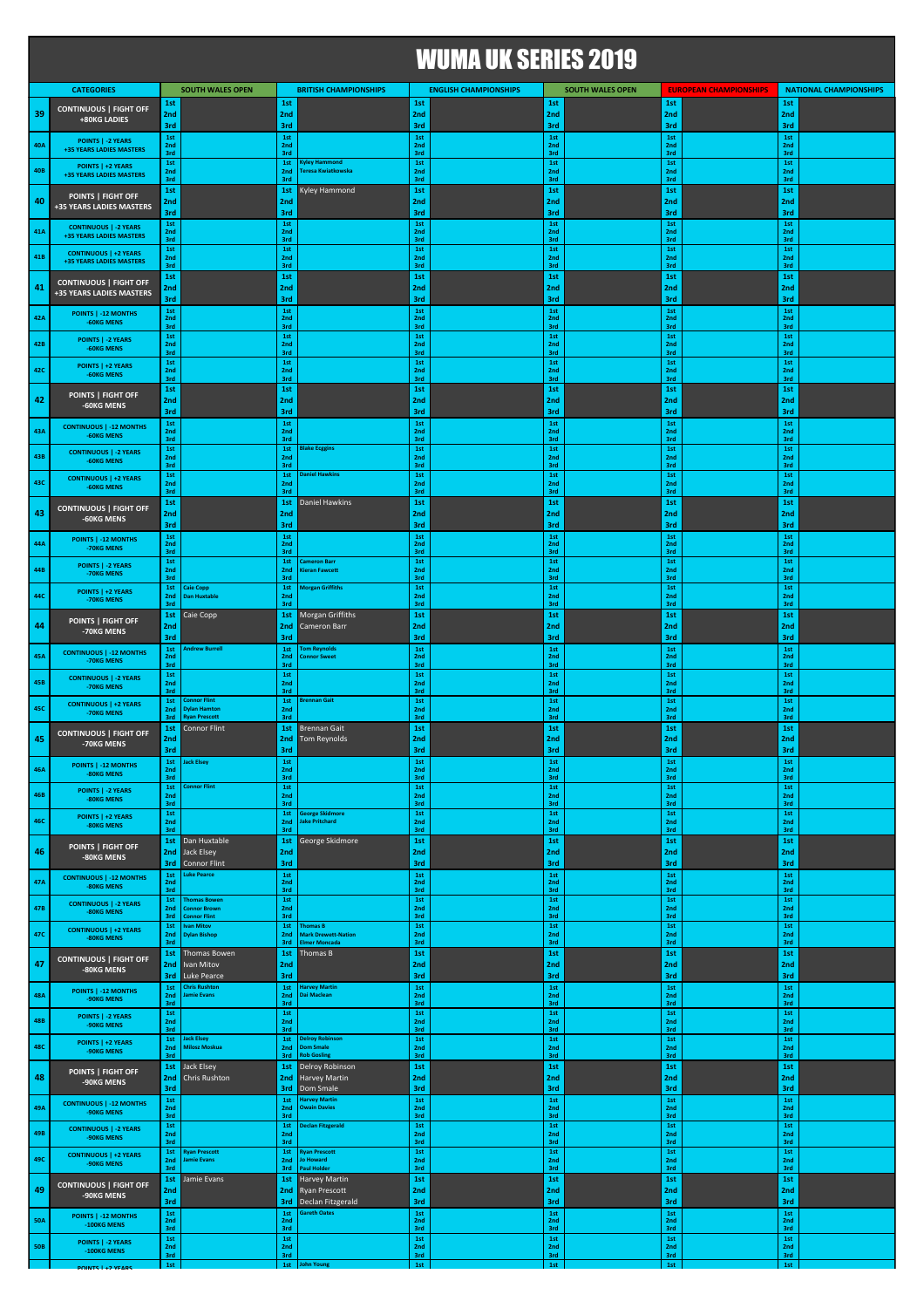## WUMA UK SERIES 2019

|            | <b>CATEGORIES</b>                                        | 1st                           | <b>SOUTH WALES OPEN</b>                               | 1st                           | <b>BRITISH CHAMPIONSHIPS</b>                                   | 1st                           | <b>ENGLISH CHAMPIONSHIPS</b> | 1st                                       | <b>SOUTH WALES OPEN</b> | 1st                           | <b>EUROPEAN CHAMPIONSHIPS</b> | 1st                           | <b>NATIONAL CHAMPIONSHIPS</b> |
|------------|----------------------------------------------------------|-------------------------------|-------------------------------------------------------|-------------------------------|----------------------------------------------------------------|-------------------------------|------------------------------|-------------------------------------------|-------------------------|-------------------------------|-------------------------------|-------------------------------|-------------------------------|
| 39         | <b>CONTINUOUS   FIGHT OFF</b><br>+80KG LADIES            | 2nd<br>3rd                    |                                                       | 2nd<br>3rd                    |                                                                | 2nd<br>3rd                    |                              | 2nd<br>3rd                                |                         | 2nd<br>3rd                    |                               | 2nd<br>3rd                    |                               |
| 40A        | POINTS   -2 YEARS<br>+35 YEARS LADIES MASTERS            | 1st<br>2nd                    |                                                       | 1st<br>2nd                    |                                                                | 1st<br>2nd                    |                              | 1st<br>2nd                                |                         | 1st<br>2 <sub>nd</sub><br>3rd |                               | 1st<br>2nd                    |                               |
| 40B        | POINTS   +2 YEARS                                        | 3rd<br>1st<br>2nd             |                                                       | 3rd<br>1st<br>2nd             | <b>Kyley Hammond</b><br>Teresa Kwiatkowska                     | 3rd<br>1st<br>2nd             |                              | 3rd<br>1st<br>2nd                         |                         | 1st<br>2nd                    |                               | 3rd<br>1st<br>2nd             |                               |
|            | +35 YEARS LADIES MASTERS<br>POINTS   FIGHT OFF           | 3rd<br>1st                    |                                                       | 3rd<br>1st                    | Kyley Hammond                                                  | 3rd<br>1st                    |                              | 3rd<br>1st                                |                         | 3rd<br>1st                    |                               | 3rd<br>1st                    |                               |
| 40         | +35 YEARS LADIES MASTERS                                 | 2nd<br>3rd                    |                                                       | 2nd<br>3rd                    |                                                                | 2nd<br>3rd                    |                              | 2nd<br>3rd                                |                         | 2 <sub>nd</sub><br>3rd        |                               | 2nd<br>3rd                    |                               |
| 41A        | <b>CONTINUOUS   -2 YEARS</b><br>+35 YEARS LADIES MASTERS | 1st<br>2nd<br>3rd             |                                                       | 1st<br>2nd<br>3rd             |                                                                | 1st<br>2nd<br>3rd             |                              | 1st<br>2nd<br>3rd                         |                         | 1st<br>2nd<br>3rd             |                               | 1st<br>2nd<br>3rd             |                               |
| 41B        | <b>CONTINUOUS   +2 YEARS</b><br>+35 YEARS LADIES MASTERS | 1st<br>2nd                    |                                                       | 1st<br>2nd                    |                                                                | 1st<br>2nd                    |                              | 1st<br>2nd<br>3rd                         |                         | 1st<br>2nd                    |                               | 1st<br>2nd<br>3rd             |                               |
| 41         | <b>CONTINUOUS   FIGHT OFF</b>                            | 3rd<br>1st<br>2nd             |                                                       | 3rd<br>1st<br>2nd             |                                                                | 3rd<br>1st<br>2nd             |                              | 1st<br>2nd                                |                         | 3rd<br>1st<br>2nd             |                               | 1st<br>2nd                    |                               |
|            | +35 YEARS LADIES MASTERS                                 | 3rd<br>1st                    |                                                       | 3rd<br>1st                    |                                                                | 3rd<br>1st                    |                              | 3rd<br>1st                                |                         | 3rd<br>1st                    |                               | 3rd<br>1st                    |                               |
| 42A        | POINTS   -12 MONTHS<br>-60KG MENS                        | 2nd<br>3rd                    |                                                       | 2nd<br>3rd                    |                                                                | 2nd<br>3rd                    |                              | 2nd<br>3rd                                |                         | 2nd<br>3rd                    |                               | 2nd<br>3rd                    |                               |
| 42B        | POINTS   -2 YEARS<br>-60KG MENS                          | $1st$<br>2nd<br>3rd           |                                                       | $1st$<br>2nd<br>3rd           |                                                                | 1st<br>2nd<br>3rd             |                              | 1st<br>2nd<br>3rd                         |                         | 1st<br>2nd<br>3rd             |                               | 1st<br>2nd<br>3rd             |                               |
| 42C        | POINTS   +2 YEARS<br>-60KG MENS                          | 1st<br>2nd<br>3rd             |                                                       | 1st<br>2nd<br>3rd             |                                                                | 1st<br>2nd<br>3rd             |                              | 1st<br>2nd<br>3rd                         |                         | 1st<br>2 <sub>nd</sub><br>3rd |                               | 1st<br>2 <sub>nd</sub><br>3rd |                               |
| 42         | POINTS   FIGHT OFF                                       | 1st<br>2nd                    |                                                       | 1st<br>2nd                    |                                                                | 1st<br>2nd                    |                              | 1st<br>2nd                                |                         | 1st<br>2nd                    |                               | 1st<br>2nd                    |                               |
|            | -60KG MENS                                               | 3rd<br>1st                    |                                                       | 3rd<br>1st                    |                                                                | 3rd<br>1st                    |                              | 3rd<br>1st                                |                         | 3rd<br>1st                    |                               | 3rd<br>1st                    |                               |
| 43A        | <b>CONTINUOUS   -12 MONTHS</b><br>-60KG MENS             | 2 <sub>nd</sub><br>3rd<br>1st |                                                       | 2nd<br>3rd<br>1st             | <b>Blake Ecggins</b>                                           | 2 <sub>nd</sub><br>3rd<br>1st |                              | 2nd<br>3rd<br>1st                         |                         | 2nd<br>3rd<br>1st             |                               | 2nd<br>3rd<br>1st             |                               |
| 43B        | <b>CONTINUOUS   -2 YEARS</b><br>-60KG MENS               | 2nd<br>3rd                    |                                                       | 2nd<br>3rd                    |                                                                | 2nd<br>3rd                    |                              | 2nd<br>3rd                                |                         | 2nd<br>3rd                    |                               | 2nd<br>3rd                    |                               |
| 43C        | <b>CONTINUOUS   +2 YEARS</b><br>-60KG MENS               | 1st<br>2nd<br>3rd             |                                                       | 1st<br>2nd<br>3rd             | <b>Daniel Hawkins</b>                                          | 1st<br>2nd<br>3rd             |                              | 1st<br>2nd<br>3rd                         |                         | 1st<br>2nd<br>3rd             |                               | 1st<br>2nd<br>3rd             |                               |
| 43         | <b>CONTINUOUS   FIGHT OFF</b>                            | 1st<br>2nd                    |                                                       | 1st<br>2nd                    | Daniel Hawkins                                                 | 1st<br>2nd                    |                              | 1st<br>2nd                                |                         | 1st<br>2nd                    |                               | 1st<br>2nd                    |                               |
|            | -60KG MENS<br>POINTS   -12 MONTHS                        | 3rd<br>1st                    |                                                       | 3rd<br>1st                    |                                                                | 3rd<br>1st                    |                              | 3rd<br>1st                                |                         | 3rd<br>1st                    |                               | 3rd<br>1st                    |                               |
| 44A        | -70KG MENS                                               | 2nd<br>3rd<br>1st             |                                                       | 2nd<br>3rd<br>1st             | ameron Barr                                                    | 2nd<br>3rd<br>1st             |                              | 2nd<br>3rd<br>1st                         |                         | 2nd<br>3rd<br>1st             |                               | 2nd<br>3rd<br>1st             |                               |
| 44B        | POINTS   -2 YEARS<br>-70KG MENS                          | 2nd<br>3rd                    |                                                       | 2nd<br>3rd                    | ieran Fawcett                                                  | 2nd<br>3rd                    |                              | 2nd<br>3rd                                |                         | 2nd<br>3rd                    |                               | 2nd<br>3rd                    |                               |
| 44C        | POINTS   +2 YEARS<br>-70KG MENS                          | 1st<br>2nd<br>3rd             | Caie Copp<br><b>Dan Huxtable</b>                      | 1st<br>2nd<br>3rd             | Morgan Griffiths                                               | 1st<br>2 <sub>nd</sub><br>3rd |                              | 1st<br>2nd<br>3rd                         |                         | 1st<br>2 <sub>nd</sub><br>3rd |                               | 1st<br>2nd<br>3rd             |                               |
| 44         | POINTS   FIGHT OFF<br>-70KG MENS                         | 1st<br>2nd                    | Caie Copp                                             | 1st<br>2nd                    | Morgan Griffiths<br>Cameron Barr                               | 1st<br>2nd                    |                              | 1st<br>2nd                                |                         | 1st<br>2nd                    |                               | 1st<br>2nd                    |                               |
|            | <b>CONTINUOUS   -12 MONTHS</b>                           | 3rd<br>1st                    | Indrew Burrell                                        | 3rd<br>1st                    | om Reynolds                                                    | 3rd<br>1st                    |                              | 3rd<br>1st                                |                         | 3rd<br>1st                    |                               | 3rd<br>1st                    |                               |
| 45A        | -70KG MENS                                               | 2nd<br>3rd<br>1st             |                                                       | 2nd<br>3rd<br>1st             | <b>Connor Sweet</b>                                            | 2 <sub>nd</sub><br>3rd<br>1st |                              | 2nd<br>3rd<br>1st                         |                         | 2 <sub>nd</sub><br>3rd<br>1st |                               | 2 <sub>nd</sub><br>3rd<br>1st |                               |
| 45B        | <b>CONTINUOUS   -2 YEARS</b><br>-70KG MENS               | 2 <sub>nd</sub><br>3rd<br>1st | onnor Flint                                           | 2 <sub>nd</sub><br>3rd<br>1st | <b>Irennan Gait</b>                                            | 2nd<br>3rd<br>1st             |                              | 2nd<br>3rd<br>1st                         |                         | 2 <sub>nd</sub><br>3rd<br>1st |                               | 2 <sub>nd</sub><br>3rd<br>1st |                               |
| 45C        | <b>CONTINUOUS   +2 YEARS</b><br>-70KG MENS               | 2nd<br>3rd                    | <b>Oylan Hamton</b><br><b>Tyan Prescott</b>           | 2nd<br>3rd                    |                                                                | 2nd<br>3rd                    |                              | 2nd<br>3rd                                |                         | 2nd<br>3rd                    |                               | 2nd<br>3rd                    |                               |
| 45         | <b>CONTINUOUS   FIGHT OFF</b><br>-70KG MENS              | 1st<br>2nd                    | Connor Flint                                          | 1st<br>2nd                    | <b>Brennan Gait</b><br><b>Tom Reynolds</b>                     | 1st<br>2nd                    |                              | 1st<br>2nd                                |                         | 1st<br>2nd                    |                               | 1st<br>2nd                    |                               |
| 46A        | <b>DINTS   -12 MC</b><br>шэ                              | 3rd<br>1st<br>2nd             | <b>Jack Elsey</b>                                     | 3rd<br>1st<br>2nd             |                                                                | 3rd<br>1st<br>2nd             |                              | 3rd<br>1st<br>2nd                         |                         | 3rd<br>1st<br>2nd             |                               | 3rd<br>$1st$<br>2nd           |                               |
|            | -80KG MENS<br>POINTS   -2 YEARS                          | 3rd<br>1st                    | Connor Flint                                          | 3rd<br>$1st$                  |                                                                | 3rd<br>1st                    |                              | 3rd<br>1st                                |                         | 3rd<br>1st                    |                               | 3rd<br>1st                    |                               |
| 46B        | -80KG MENS<br>POINTS   +2 YEARS                          | 2nd<br>3rd<br>1st             |                                                       | 2nd<br>3rd<br>1st             | <b>George Skidmore</b>                                         | 2nd<br>3rd<br>1st             |                              | 2nd<br>3rd<br>1st                         |                         | 2nd<br>3rd<br>1st             |                               | 2nd<br>3rd<br>1st             |                               |
| 46C        | -80KG MENS                                               | 2nd<br>3rd                    |                                                       | 2nd<br>3rd                    | <b>Jake Pritchard</b>                                          | 2nd<br>3rd                    |                              | 2nd<br>3rd                                |                         | 2nd<br>3rd                    |                               | 2nd<br>3rd                    |                               |
| 46         | POINTS   FIGHT OFF<br>-80KG MENS                         | 1st<br>3rd                    | Dan Huxtable<br>2nd Jack Elsey<br><b>Connor Flint</b> | 1st<br>2nd<br>3rd             | George Skidmore                                                | 1st<br>2nd<br>3rd             |                              | 1st<br>2nd<br>3rd                         |                         | 1st<br>2nd<br>3rd             |                               | 1st<br>2nd<br>3rd             |                               |
| 47A        | <b>CONTINUOUS   -12 MONTHS</b><br>-80KG MENS             | 1st<br>2nd                    | <b>Luke Pearce</b>                                    | 1st<br>2nd                    |                                                                | 1st<br>2nd                    |                              | 1st<br>2nd                                |                         | 1st<br>2nd                    |                               | 1st<br>2nd                    |                               |
| 47B        | <b>CONTINUOUS   -2 YEARS</b>                             | 3rd<br>1st<br>2nd             | <b>Thomas Bowen</b><br><b>Connor Brown</b>            | 3rd<br>1st<br>2nd             |                                                                | 3rd<br>1st<br>2nd             |                              | 3rd<br>1st<br>2nd                         |                         | 3rd<br>1st<br>2nd             |                               | 3rd<br>1st<br>2nd             |                               |
|            | -80KG MENS<br><b>CONTINUOUS   +2 YEARS</b>               | 3rd<br>1st                    | <b>Connor Flint</b><br><b>Ivan Mitov</b>              | 3rd<br>1st                    | <b>Thomas B</b>                                                | 3rd<br>1st                    |                              | 3rd<br>1st                                |                         | 3rd<br>1st                    |                               | 3rd<br>1st                    |                               |
| 47C        | -80KG MENS                                               | 2nd<br>3rd<br>1st             | <b>Dylan Bishop</b><br>Thomas Bowen                   | 2nd<br>3rd<br>1st             | <b>Mark Drewett-Nation</b><br><b>Elmer Moncada</b><br>Thomas B | 2nd<br>3rd<br>1st             |                              | 2nd<br>3rd<br>1st                         |                         | 2nd<br>3rd<br>1st             |                               | 2nd<br>3rd<br>1st             |                               |
| 47         | <b>CONTINUOUS   FIGHT OFF</b><br>-80KG MENS              | 2nd<br>3rd                    | Ivan Mitov<br>Luke Pearce                             | 2nd<br>3rd                    |                                                                | 2nd<br>3rd                    |                              | 2nd<br>3rd                                |                         | 2nd<br>3rd                    |                               | 2nd<br>3rd                    |                               |
| 48A        | POINTS   -12 MONTHS<br>-90KG MENS                        | 1st<br>2nd                    | <b>Chris Rushton</b><br><b>Jamie Evans</b>            | 1st<br>2nd                    | <b>Harvey Martin</b><br>Dai Maclean                            | 1st<br>2nd                    |                              | $\begin{array}{c} 1st \\ 2nd \end{array}$ |                         | 1st<br>2nd                    |                               | 1st<br>2nd                    |                               |
| 48B        | POINTS   -2 YEARS<br>-90KG MENS                          | 3rd<br>1st<br>2nd             |                                                       | 3rd<br>1st<br>2nd             |                                                                | 3rd<br>1st<br>2nd             |                              | 3rd<br>1st<br>2nd                         |                         | 3rd<br>1st<br>2nd             |                               | 3rd<br>1st<br>2nd             |                               |
| 48C        | POINTS   +2 YEARS                                        | 3rd<br>1st<br>2nd             | lack Elsey<br>Milosz Moskua                           | 3rd<br>1st<br>2nd             | <b>Delroy Robinson</b><br><b>Dom Smale</b>                     | 3rd<br>1st<br>2nd             |                              | 3rd<br>1st<br>2nd                         |                         | 3rd<br>1st<br>2nd             |                               | 3rd<br>1st<br>2nd             |                               |
|            | -90KG MENS                                               | 3rd<br>1st                    | Jack Elsey                                            | 3rd<br>1st                    | <b>Rob Gosling</b><br>Delroy Robinson                          | 3rd<br>1st                    |                              | 3rd<br>1st                                |                         | 3rd<br>1st                    |                               | 3rd<br>1st                    |                               |
| 48         | POINTS   FIGHT OFF<br>-90KG MENS                         | 2nd<br>3rd                    | Chris Rushton                                         | 2nd                           | <b>Harvey Martin</b><br><b>3rd</b> Dom Smale                   | 2nd<br>3rd                    |                              | 2nd<br>3rd                                |                         | 2nd<br>3rd                    |                               | 2nd<br>3rd                    |                               |
| 49A        | <b>CONTINUOUS   -12 MONTHS</b><br>-90KG MENS             | 1st<br>2nd<br>3rd             |                                                       | 1st<br>2nd<br>3rd             | <b>Harvey Martin</b><br><b>Owain Davies</b>                    | $1st$<br>2nd<br>3rd           |                              | 1st<br>2nd<br>3rd                         |                         | 1st<br>2nd<br>3rd             |                               | $1st$<br>2nd<br>3rd           |                               |
| 49B        | <b>CONTINUOUS   -2 YEARS</b><br>-90KG MENS               | 1st<br>2nd                    |                                                       | 1st<br>2nd                    | <b>Declan Fitzgerald</b>                                       | $1st$<br>2nd                  |                              | 1st<br>2nd                                |                         | 1st<br>2nd                    |                               | 1st<br>2nd                    |                               |
| 49C        | <b>CONTINUOUS   +2 YEARS</b><br>-90KG MENS               | 3rd<br>1st<br>2nd             | <b>Ryan Prescott</b><br>Jamie Evans                   | 3rd<br>1st<br>2nd             | <b>Ryan Prescott</b><br><b>Jo Howard</b>                       | 3rd<br>1st<br>2nd             |                              | 3rd<br>1st<br>2nd                         |                         | 3rd<br>1st<br>2nd             |                               | 3rd<br>1st<br>2nd             |                               |
|            | <b>CONTINUOUS   FIGHT OFF</b>                            | 3rd<br>1st                    | Jamie Evans                                           | 3rd<br>1st                    | <b>Paul Holder</b><br>Harvey Martin                            | 3rd<br>1st                    |                              | 3rd<br>1st                                |                         | 3rd<br>1st                    |                               | 3rd<br>1st                    |                               |
| 49         | -90KG MENS                                               | 2nd<br>3rd                    |                                                       |                               | 2nd Ryan Prescott<br><b>3rd</b> Declan Fitzgerald              | 2nd<br>3rd                    |                              | 2nd<br>3rd                                |                         | 2nd<br>3rd                    |                               | 2nd<br>3rd                    |                               |
| <b>50A</b> | POINTS   -12 MONTHS<br>-100KG MENS                       | 1st<br>2nd<br>3rd             |                                                       | 1st<br>2nd<br>3rd             | <b>Gareth Oates</b>                                            | 1st<br>2 <sub>nd</sub><br>3rd |                              | 1st<br>2nd<br>3rd                         |                         | 1st<br>2 <sub>nd</sub><br>3rd |                               | 1st<br>2nd<br>3rd             |                               |
| <b>50B</b> | POINTS   -2 YEARS<br>-100KG MENS                         | 1st<br>2nd<br>3rd             |                                                       | 1st<br>2nd<br>3rd             |                                                                | 1st<br>2nd<br>3rd             |                              | 1st<br>2nd<br>3rd                         |                         | 1st<br>2nd<br>3rd             |                               | 1st<br>2nd<br>3rd             |                               |
|            | <b>DOINTE LIST VEADE</b>                                 | 1st                           |                                                       |                               | 1st John Young                                                 | 1st                           |                              | 1st                                       |                         | 1st                           |                               | 1st                           |                               |

**FOINTS | +2 YEARS**